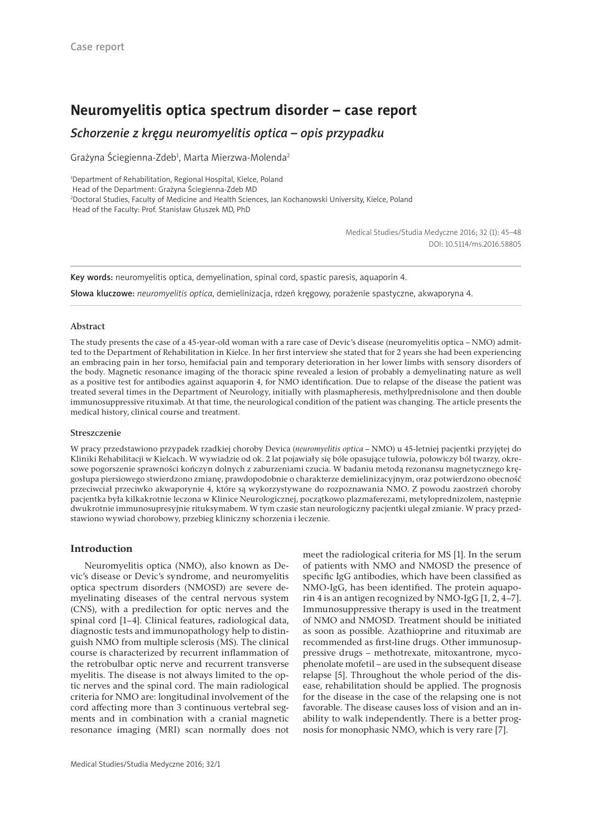# **Neuromyelitis optica spectrum disorder – case report**

## *Schorzenie z kręgu neuromyelitis optica – opis przypadku*

Grażyna Ściegienna-Zdeb<sup>1</sup>, Marta Mierzwa-Molenda<sup>2</sup>

1 Department of Rehabilitation, Regional Hospital, Kielce, Poland Head of the Department: Grażyna Ściegienna-Zdeb MD 2 Doctoral Studies, Faculty of Medicine and Health Sciences, Jan Kochanowski University, Kielce, Poland Head of the Faculty: Prof. Stanisław Głuszek MD, PhD

> Medical Studies/Studia Medyczne 2016; 32 (1): 45–48 DOI: 10.5114/ms.2016.58805

Key words: neuromyelitis optica, demyelination, spinal cord, spastic paresis, aquaporin 4.

Słowa kluczowe: *neuromyelitis optica*, demielinizacja, rdzeń kręgowy, porażenie spastyczne, akwaporyna 4.

#### Abstract

The study presents the case of a 45-year-old woman with a rare case of Devic's disease (neuromyelitis optica – NMO) admitted to the Department of Rehabilitation in Kielce. In her first interview she stated that for 2 years she had been experiencing an embracing pain in her torso, hemifacial pain and temporary deterioration in her lower limbs with sensory disorders of the body. Magnetic resonance imaging of the thoracic spine revealed a lesion of probably a demyelinating nature as well as a positive test for antibodies against aquaporin 4, for NMO identification. Due to relapse of the disease the patient was treated several times in the Department of Neurology, initially with plasmapheresis, methylprednisolone and then double immunosuppressive rituximab. At that time, the neurological condition of the patient was changing. The article presents the medical history, clinical course and treatment.

### Streszczenie

W pracy przedstawiono przypadek rzadkiej choroby Devica (*neuromyelitis optica* – NMO) u 45-letniej pacjentki przyjętej do Kliniki Rehabilitacji w Kielcach. W wywiadzie od ok. 2 lat pojawiały się bóle opasujące tułowia, połowiczy ból twarzy, okresowe pogorszenie sprawności kończyn dolnych z zaburzeniami czucia. W badaniu metodą rezonansu magnetycznego kręgosłupa piersiowego stwierdzono zmianę, prawdopodobnie o charakterze demielinizacyjnym, oraz potwierdzono obecność przeciwciał przeciwko akwaporynie 4, które są wykorzystywane do rozpoznawania NMO. Z powodu zaostrzeń choroby pacjentka była kilkakrotnie leczona w Klinice Neurologicznej, początkowo plazmaferezami, metyloprednizolem, następnie dwukrotnie immunosupresyjnie rituksymabem. W tym czasie stan neurologiczny pacjentki ulegał zmianie. W pracy przedstawiono wywiad chorobowy, przebieg kliniczny schorzenia i leczenie.

#### **Introduction**

Neuromyelitis optica (NMO), also known as Devic's disease or Devic's syndrome, and neuromyelitis optica spectrum disorders (NMOSD) are severe demyelinating diseases of the central nervous system (CNS), with a predilection for optic nerves and the spinal cord [1–4]. Clinical features, radiological data, diagnostic tests and immunopathology help to distinguish NMO from multiple sclerosis (MS). The clinical course is characterized by recurrent inflammation of the retrobulbar optic nerve and recurrent transverse myelitis. The disease is not always limited to the optic nerves and the spinal cord. The main radiological criteria for NMO are: longitudinal involvement of the cord affecting more than 3 continuous vertebral segments and in combination with a cranial magnetic resonance imaging (MRI) scan normally does not

of patients with NMO and NMOSD the presence of specific IgG antibodies, which have been classified as NMO-IgG, has been identified. The protein aquaporin 4 is an antigen recognized by NMO-IgG [1, 2, 4–7]. Immunosuppressive therapy is used in the treatment of NMO and NMOSD. Treatment should be initiated as soon as possible. Azathioprine and rituximab are recommended as first-line drugs. Other immunosuppressive drugs – methotrexate, mitoxantrone, mycophenolate mofetil – are used in the subsequent disease relapse [5]. Throughout the whole period of the disease, rehabilitation should be applied. The prognosis for the disease in the case of the relapsing one is not favorable. The disease causes loss of vision and an inability to walk independently. There is a better prognosis for monophasic NMO, which is very rare [7].

meet the radiological criteria for MS [1]. In the serum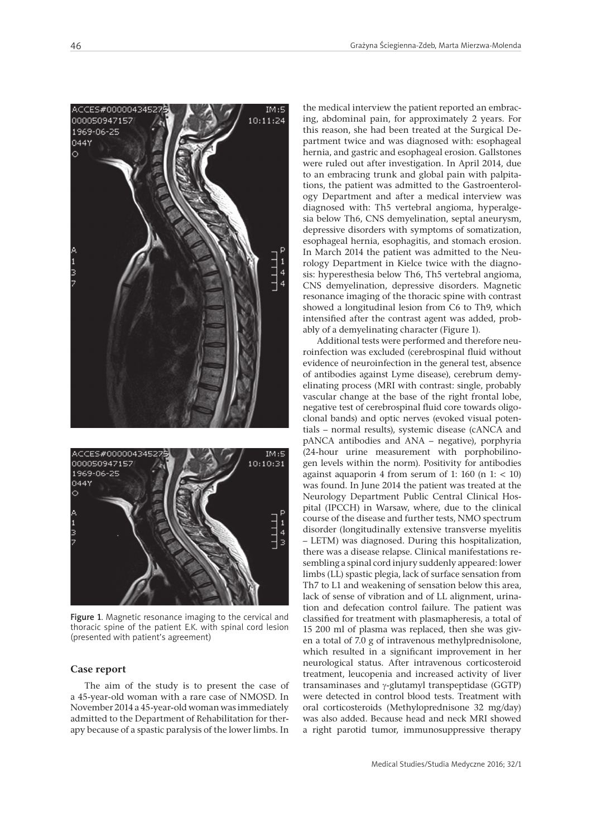



Figure 1. Magnetic resonance imaging to the cervical and thoracic spine of the patient E.K. with spinal cord lesion (presented with patient's agreement)

#### **Case report**

The aim of the study is to present the case of a 45-year-old woman with a rare case of NMOSD. In November 2014 a 45-year-old woman was immediately admitted to the Department of Rehabilitation for therapy because of a spastic paralysis of the lower limbs. In

the medical interview the patient reported an embracing, abdominal pain, for approximately 2 years. For this reason, she had been treated at the Surgical Department twice and was diagnosed with: esophageal hernia, and gastric and esophageal erosion. Gallstones were ruled out after investigation. In April 2014, due to an embracing trunk and global pain with palpitations, the patient was admitted to the Gastroenterology Department and after a medical interview was diagnosed with: Th5 vertebral angioma, hyperalgesia below Th6, CNS demyelination, septal aneurysm, depressive disorders with symptoms of somatization, esophageal hernia, esophagitis, and stomach erosion. In March 2014 the patient was admitted to the Neurology Department in Kielce twice with the diagnosis: hyperesthesia below Th6, Th5 vertebral angioma, CNS demyelination, depressive disorders. Magnetic resonance imaging of the thoracic spine with contrast showed a longitudinal lesion from C6 to Th9, which intensified after the contrast agent was added, probably of a demyelinating character (Figure 1).

Additional tests were performed and therefore neuroinfection was excluded (cerebrospinal fluid without evidence of neuroinfection in the general test, absence of antibodies against Lyme disease), cerebrum demyelinating process (MRI with contrast: single, probably vascular change at the base of the right frontal lobe, negative test of cerebrospinal fluid core towards oligoclonal bands) and optic nerves (evoked visual potentials – normal results), systemic disease (cANCA and pANCA antibodies and ANA – negative), porphyria (24-hour urine measurement with porphobilinogen levels within the norm). Positivity for antibodies against aquaporin 4 from serum of 1: 160 (n  $1: < 10$ ) was found. In June 2014 the patient was treated at the Neurology Department Public Central Clinical Hospital (IPCCH) in Warsaw, where, due to the clinical course of the disease and further tests, NMO spectrum disorder (longitudinally extensive transverse myelitis – LETM) was diagnosed. During this hospitalization, there was a disease relapse. Clinical manifestations resembling a spinal cord injury suddenly appeared: lower limbs (LL) spastic plegia, lack of surface sensation from Th7 to L1 and weakening of sensation below this area, lack of sense of vibration and of LL alignment, urination and defecation control failure. The patient was classified for treatment with plasmapheresis, a total of 15 200 ml of plasma was replaced, then she was given a total of 7.0 g of intravenous methylprednisolone, which resulted in a significant improvement in her neurological status. After intravenous corticosteroid treatment, leucopenia and increased activity of liver transaminases and  $\gamma$ -glutamyl transpeptidase (GGTP) were detected in control blood tests. Treatment with oral corticosteroids (Methyloprednisone 32 mg/day) was also added. Because head and neck MRI showed a right parotid tumor, immunosuppressive therapy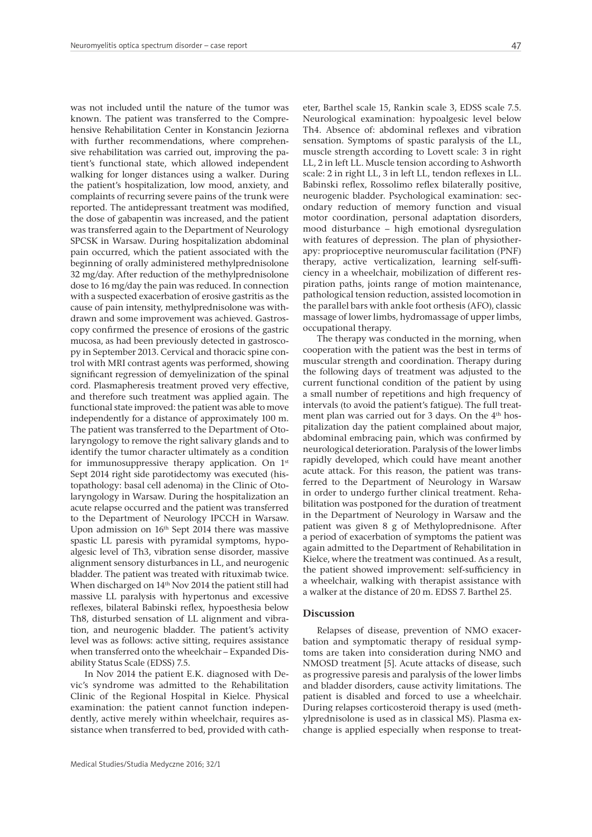was not included until the nature of the tumor was known. The patient was transferred to the Comprehensive Rehabilitation Center in Konstancin Jeziorna with further recommendations, where comprehensive rehabilitation was carried out, improving the patient's functional state, which allowed independent walking for longer distances using a walker. During the patient's hospitalization, low mood, anxiety, and complaints of recurring severe pains of the trunk were reported. The antidepressant treatment was modified, the dose of gabapentin was increased, and the patient was transferred again to the Department of Neurology SPCSK in Warsaw. During hospitalization abdominal pain occurred, which the patient associated with the beginning of orally administered methylprednisolone 32 mg/day. After reduction of the methylprednisolone dose to 16 mg/day the pain was reduced. In connection with a suspected exacerbation of erosive gastritis as the cause of pain intensity, methylprednisolone was withdrawn and some improvement was achieved. Gastroscopy confirmed the presence of erosions of the gastric mucosa, as had been previously detected in gastroscopy in September 2013. Cervical and thoracic spine control with MRI contrast agents was performed, showing significant regression of demyelinization of the spinal cord. Plasmapheresis treatment proved very effective, and therefore such treatment was applied again. The functional state improved: the patient was able to move independently for a distance of approximately 100 m. The patient was transferred to the Department of Otolaryngology to remove the right salivary glands and to identify the tumor character ultimately as a condition for immunosuppressive therapy application. On  $1<sup>st</sup>$ Sept 2014 right side parotidectomy was executed (histopathology: basal cell adenoma) in the Clinic of Otolaryngology in Warsaw. During the hospitalization an acute relapse occurred and the patient was transferred to the Department of Neurology IPCCH in Warsaw. Upon admission on 16<sup>th</sup> Sept 2014 there was massive spastic LL paresis with pyramidal symptoms, hypoalgesic level of Th3, vibration sense disorder, massive alignment sensory disturbances in LL, and neurogenic bladder. The patient was treated with rituximab twice. When discharged on 14th Nov 2014 the patient still had massive LL paralysis with hypertonus and excessive reflexes, bilateral Babinski reflex, hypoesthesia below Th8, disturbed sensation of LL alignment and vibration, and neurogenic bladder. The patient's activity level was as follows: active sitting, requires assistance when transferred onto the wheelchair – Expanded Disability Status Scale (EDSS) 7.5.

In Nov 2014 the patient E.K. diagnosed with Devic's syndrome was admitted to the Rehabilitation Clinic of the Regional Hospital in Kielce. Physical examination: the patient cannot function independently, active merely within wheelchair, requires assistance when transferred to bed, provided with catheter, Barthel scale 15, Rankin scale 3, EDSS scale 7.5.

Neurological examination: hypoalgesic level below Th4. Absence of: abdominal reflexes and vibration sensation. Symptoms of spastic paralysis of the LL, muscle strength according to Lovett scale: 3 in right LL, 2 in left LL. Muscle tension according to Ashworth scale: 2 in right LL, 3 in left LL, tendon reflexes in LL. Babinski reflex, Rossolimo reflex bilaterally positive, neurogenic bladder. Psychological examination: secondary reduction of memory function and visual motor coordination, personal adaptation disorders, mood disturbance – high emotional dysregulation with features of depression. The plan of physiotherapy: proprioceptive neuromuscular facilitation (PNF) therapy, active verticalization, learning self-sufficiency in a wheelchair, mobilization of different respiration paths, joints range of motion maintenance, pathological tension reduction, assisted locomotion in the parallel bars with ankle foot orthesis (AFO), classic massage of lower limbs, hydromassage of upper limbs, occupational therapy.

The therapy was conducted in the morning, when cooperation with the patient was the best in terms of muscular strength and coordination. Therapy during the following days of treatment was adjusted to the current functional condition of the patient by using a small number of repetitions and high frequency of intervals (to avoid the patient's fatigue). The full treatment plan was carried out for 3 days. On the 4<sup>th</sup> hospitalization day the patient complained about major, abdominal embracing pain, which was confirmed by neurological deterioration. Paralysis of the lower limbs rapidly developed, which could have meant another acute attack. For this reason, the patient was transferred to the Department of Neurology in Warsaw in order to undergo further clinical treatment. Rehabilitation was postponed for the duration of treatment in the Department of Neurology in Warsaw and the patient was given 8 g of Methyloprednisone. After a period of exacerbation of symptoms the patient was again admitted to the Department of Rehabilitation in Kielce, where the treatment was continued. As a result, the patient showed improvement: self-sufficiency in a wheelchair, walking with therapist assistance with a walker at the distance of 20 m. EDSS 7. Barthel 25.

#### **Discussion**

Relapses of disease, prevention of NMO exacerbation and symptomatic therapy of residual symptoms are taken into consideration during NMO and NMOSD treatment [5]. Acute attacks of disease, such as progressive paresis and paralysis of the lower limbs and bladder disorders, cause activity limitations. The patient is disabled and forced to use a wheelchair. During relapses corticosteroid therapy is used (methylprednisolone is used as in classical MS). Plasma exchange is applied especially when response to treat